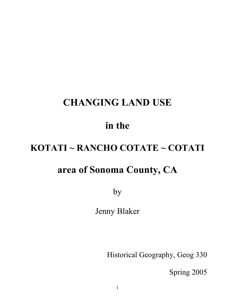# **CHANGING LAND USE**

## **in the**

# **KOTATI ~ RANCHO COTATE ~ COTATI**

### **area of Sonoma County, CA**

by

Jenny Blaker

Historical Geography, Geog 330

Spring 2005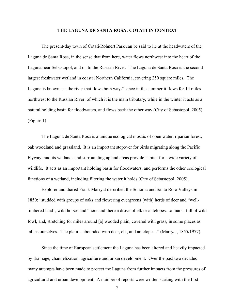#### **THE LAGUNA DE SANTA ROSA: COTATI IN CONTEXT**

The present-day town of Cotati/Rohnert Park can be said to lie at the headwaters of the Laguna de Santa Rosa, in the sense that from here, water flows northwest into the heart of the Laguna near Sebastopol, and on to the Russian River. The Laguna de Santa Rosa is the second largest freshwater wetland in coastal Northern California, covering 250 square miles. The Laguna is known as "the river that flows both ways" since in the summer it flows for 14 miles northwest to the Russian River, of which it is the main tributary, while in the winter it acts as a natural holding basin for floodwaters, and flows back the other way (City of Sebastopol, 2005). (Figure 1).

The Laguna de Santa Rosa is a unique ecological mosaic of open water, riparian forest, oak woodland and grassland. It is an important stopover for birds migrating along the Pacific Flyway, and its wetlands and surrounding upland areas provide habitat for a wide variety of wildlife. It acts as an important holding basin for floodwaters, and performs the other ecological functions of a wetland, including filtering the water it holds (City of Sebastopol, 2005).

Explorer and diarist Frank Marryat described the Sonoma and Santa Rosa Valleys in 1850: "studded with groups of oaks and flowering evergreens [with] herds of deer and "welltimbered land", wild horses and "here and there a drove of elk or antelopes…a marsh full of wild fowl, and, stretching for miles around [a] wooded plain, covered with grass, in some places as tall as ourselves. The plain…abounded with deer, elk, and antelope…" (Marryat, 1855/1977).

Since the time of European settlement the Laguna has been altered and heavily impacted by drainage, channelization, agriculture and urban development. Over the past two decades many attempts have been made to protect the Laguna from further impacts from the pressures of agricultural and urban development. A number of reports were written starting with the first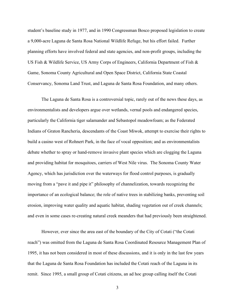student's baseline study in 1977, and in 1990 Congressman Bosco proposed legislation to create a 9,000-acre Laguna de Santa Rosa National Wildlife Refuge, but his effort failed. Further planning efforts have involved federal and state agencies, and non-profit groups, including the US Fish & Wildlife Service, US Army Corps of Engineers, California Department of Fish & Game, Sonoma County Agricultural and Open Space District, California State Coastal Conservancy, Sonoma Land Trust, and Laguna de Santa Rosa Foundation, and many others.

The Laguna de Santa Rosa is a controversial topic, rarely out of the news these days, as environmentalists and developers argue over wetlands, vernal pools and endangered species, particularly the California tiger salamander and Sebastopol meadowfoam; as the Federated Indians of Graton Rancheria, descendants of the Coast Miwok, attempt to exercise their rights to build a casino west of Rohnert Park, in the face of vocal opposition; and as environmentalists debate whether to spray or hand-remove invasive plant species which are clogging the Laguna and providing habitat for mosquitoes, carriers of West Nile virus. The Sonoma County Water Agency, which has jurisdiction over the waterways for flood control purposes, is gradually moving from a "pave it and pipe it" philosophy of channelization, towards recognizing the importance of an ecological balance; the role of native trees in stabilizing banks, preventing soil erosion, improving water quality and aquatic habitat, shading vegetation out of creek channels; and even in some cases re-creating natural creek meanders that had previously been straightened.

However, ever since the area east of the boundary of the City of Cotati ("the Cotati reach") was omitted from the Laguna de Santa Rosa Coordinated Resource Management Plan of 1995, it has not been considered in most of these discussions, and it is only in the last few years that the Laguna de Santa Rosa Foundation has included the Cotati reach of the Laguna in its remit. Since 1995, a small group of Cotati citizens, an ad hoc group calling itself the Cotati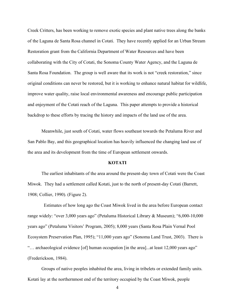Creek Critters, has been working to remove exotic species and plant native trees along the banks of the Laguna de Santa Rosa channel in Cotati. They have recently applied for an Urban Stream Restoration grant from the California Department of Water Resources and have been collaborating with the City of Cotati, the Sonoma County Water Agency, and the Laguna de Santa Rosa Foundation. The group is well aware that its work is not "creek restoration," since original conditions can never be restored, but it is working to enhance natural habitat for wildlife, improve water quality, raise local environmental awareness and encourage public participation and enjoyment of the Cotati reach of the Laguna. This paper attempts to provide a historical backdrop to these efforts by tracing the history and impacts of the land use of the area.

Meanwhile, just south of Cotati, water flows southeast towards the Petaluma River and San Pablo Bay, and this geographical location has heavily influenced the changing land use of the area and its development from the time of European settlement onwards.

#### **KOTATI**

The earliest inhabitants of the area around the present-day town of Cotati were the Coast Miwok. They had a settlement called Kotati, just to the north of present-day Cotati (Barrett, 1908; Collier, 1990). (Figure 2).

Estimates of how long ago the Coast Miwok lived in the area before European contact range widely: "over 3,000 years ago" (Petaluma Historical Library & Museum); "6,000-10,000 years ago" (Petaluma Visitors' Program, 2005); 8,000 years (Santa Rosa Plain Vernal Pool Ecosystem Preservation Plan, 1995); "11,000 years ago" (Sonoma Land Trust, 2003). There is "… archaeological evidence [of] human occupation [in the area]...at least 12,000 years ago" (Frederickson, 1984).

Groups of native peoples inhabited the area, living in tribelets or extended family units. Kotati lay at the northernmost end of the territory occupied by the Coast Miwok, people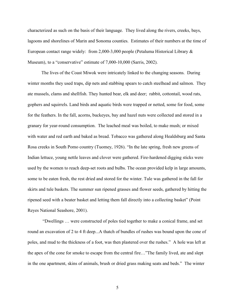characterized as such on the basis of their language. They lived along the rivers, creeks, bays, lagoons and shorelines of Marin and Sonoma counties. Estimates of their numbers at the time of European contact range widely: from 2,000-3,000 people (Petaluma Historical Library & Museum), to a "conservative" estimate of 7,000-10,000 (Sarris, 2002).

The lives of the Coast Miwok were intricately linked to the changing seasons. During winter months they used traps, dip nets and stabbing spears to catch steelhead and salmon. They ate mussels, clams and shellfish. They hunted bear, elk and deer; rabbit, cottontail, wood rats, gophers and squirrels. Land birds and aquatic birds were trapped or netted, some for food, some for the feathers. In the fall, acorns, buckeyes, bay and hazel nuts were collected and stored in a granary for year-round consumption. The leached meal was boiled, to make mush; or mixed with water and red earth and baked as bread. Tobacco was gathered along Healdsburg and Santa Rosa creeks in South Pomo country (Tuomey, 1926). "In the late spring, fresh new greens of Indian lettuce, young nettle leaves and clover were gathered. Fire-hardened digging sticks were used by the women to reach deep-set roots and bulbs. The ocean provided kelp in large amounts, some to be eaten fresh, the rest dried and stored for the winter. Tule was gathered in the fall for skirts and tule baskets. The summer sun ripened grasses and flower seeds, gathered by hitting the ripened seed with a beater basket and letting them fall directly into a collecting basket" (Point Reyes National Seashore, 2001).

"Dwellings … were constructed of poles tied together to make a conical frame, and set round an excavation of 2 to 4 ft deep...A thatch of bundles of rushes was bound upon the cone of poles, and mud to the thickness of a foot, was then plastered over the rushes." A hole was left at the apex of the cone for smoke to escape from the central fire…"The family lived, ate and slept in the one apartment, skins of animals, brush or dried grass making seats and beds." The winter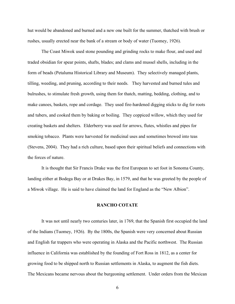hut would be abandoned and burned and a new one built for the summer, thatched with brush or rushes, usually erected near the bank of a stream or body of water (Tuomey, 1926).

The Coast Miwok used stone pounding and grinding rocks to make flour, and used and traded obsidian for spear points, shafts, blades; and clams and mussel shells, including in the form of beads (Petaluma Historical Library and Museum). They selectively managed plants, tilling, weeding, and pruning, according to their needs. They harvested and burned tules and bulrushes, to stimulate fresh growth, using them for thatch, matting, bedding, clothing, and to make canoes, baskets, rope and cordage. They used fire-hardened digging sticks to dig for roots and tubers, and cooked them by baking or boiling. They coppiced willow, which they used for creating baskets and shelters. Elderberry was used for arrows, flutes, whistles and pipes for smoking tobacco. Plants were harvested for medicinal uses and sometimes brewed into teas (Stevens, 2004). They had a rich culture, based upon their spiritual beliefs and connections with the forces of nature.

It is thought that Sir Francis Drake was the first European to set foot in Sonoma County, landing either at Bodega Bay or at Drakes Bay, in 1579, and that he was greeted by the people of a Miwok village. He is said to have claimed the land for England as the "New Albion".

### **RANCHO COTATE**

It was not until nearly two centuries later, in 1769, that the Spanish first occupied the land of the Indians (Tuomey, 1926). By the 1800s, the Spanish were very concerned about Russian and English fur trappers who were operating in Alaska and the Pacific northwest. The Russian influence in California was established by the founding of Fort Ross in 1812, as a center for growing food to be shipped north to Russian settlements in Alaska, to augment the fish diets. The Mexicans became nervous about the burgeoning settlement. Under orders from the Mexican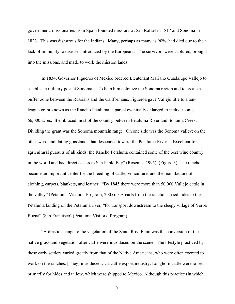government, missionaries from Spain founded missions at San Rafael in 1817 and Sonoma in 1823. This was disastrous for the Indians. Many, perhaps as many as 90%, had died due to their lack of immunity to diseases introduced by the Europeans. The survivors were captured, brought into the missions, and made to work the mission lands.

In 1834, Governor Figueroa of Mexico ordered Lieutenant Mariano Guadalupe Vallejo to establish a military post at Sonoma. "To help him colonize the Sonoma region and to create a buffer zone between the Russians and the Californians, Figueroa gave Vallejo title to a tenleague grant known as the Rancho Petaluma, a parcel eventually enlarged to include some 66,000 acres. It embraced most of the country between Petaluma River and Sonoma Creek. Dividing the grant was the Sonoma mountain range. On one side was the Sonoma valley; on the other were undulating grasslands that descended toward the Petaluma River… Excellent for agricultural pursuits of all kinds, the Rancho Petaluma contained some of the best wine country in the world and had direct access to San Pablo Bay" (Rosenus, 1995). (Figure 3). The rancho became an important center for the breeding of cattle, viniculture, and the manufacture of clothing, carpets, blankets, and leather. "By 1845 there were more than 50,000 Vallejo cattle in the valley" (Petaluma Visitors' Program, 2005). Ox carts from the rancho carried hides to the Petaluma landing on the Petaluma river, "for transport downstream to the sleepy village of Yerba Buena" (San Francisco) (Petaluma Visitors' Program).

"A drastic change to the vegetation of the Santa Rosa Plain was the conversion of the native grassland vegetation after cattle were introduced on the scene...The lifestyle practiced by these early settlers varied greatly from that of the Native Americans, who were often coerced to work on the ranches. [They] introduced … a cattle export industry. Longhorn cattle were raised primarily for hides and tallow, which were shipped to Mexico. Although this practice (in which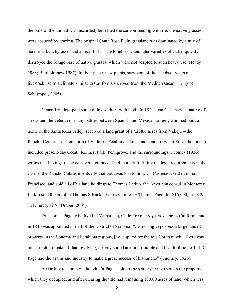the bulk of the animal was discarded) benefited the carrion-feeding wildlife, the native grasses were reduced by grazing. The original Santa Rosa Plain grassland was dominated by a mix of perennial bunchgrasses and annual forbs. The longhorns, and later varieties of cattle, quickly destroyed the forage base of native grasses, which were not adapted to such heavy use (Heady 1988; Bartholomew 1987). In their place, new plants, survivors of thousands of years of livestock use in a climate similar to California's arrived from the Mediterranean" (City of Sebastopol, 2005).

General Vallejo paid some of his soldiers with land. In 1844 Juan Castenada, a native of Texas and the veteran of many battles between Spanish and Mexican armies, who had built a home in the Santa Rosa valley, received a land grant of 17,238.6 acres from Vallejo – the Rancho Cotate. Located north of Vallejo's Petaluma adobe, and south of Santa Rosa, the rancho included present-day Cotati, Rohnert Park, Penngrove, and the surroundings. Tuomey (1926) writes that having "received several grants of land, but not fulfilling the legal requirements in the case of the Rancho Cotate, eventually that tract was lost to him…" Castenada settled in San Francisco, and sold all of his land holdings to Thomas Larkin, the American consul in Monterey. Larkin sold the grant to Thomas S Ruckel who sold it to Dr Thomas Page, for \$16,000, in 1849 (DeClercq, 1976; Draper, 2004).

Dr Thomas Page, who lived in Valparaiso, Chile, for many years, came to California and in 1846 was appointed sheriff of the District of Sonoma. "…desiring to possess a large landed property in the Sonoma and Petaluma regions, [he] applied for the idle Cotati ranch. There was much to do to make of that low lying, heavily soiled area a profitable and healthful home, but Dr Page had the brains and industry to make a great success of his rancho" (Tuomey, 1926).

According to Tuomey, though, Dr Page "sold to the settlers living thereon the property which they occupied, and after clearing the title had remaining 13,000 acres of land, which was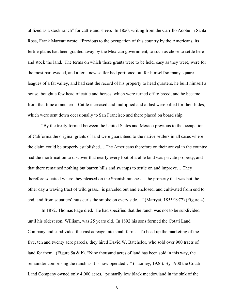utilized as a stock ranch" for cattle and sheep. In 1850, writing from the Carrillo Adobe in Santa Rosa, Frank Maryatt wrote: "Previous to the occupation of this country by the Americans, its fertile plains had been granted away by the Mexican government, to such as chose to settle here and stock the land. The terms on which these grants were to be held, easy as they were, were for the most part evaded, and after a new settler had portioned out for himself so many square leagues of a fat valley, and had sent the record of his property to head quarters, he built himself a house, bought a few head of cattle and horses, which were turned off to breed, and he became from that time a ranchero. Cattle increased and multiplied and at last were killed for their hides, which were sent down occasionally to San Francisco and there placed on board ship.

"By the treaty formed between the United States and Mexico previous to the occupation of California the original grants of land were guaranteed to the native settlers in all cases where the claim could be properly established.…The Americans therefore on their arrival in the country had the mortification to discover that nearly every foot of arable land was private property, and that there remained nothing but barren hills and swamps to settle on and improve… They therefore squatted where they pleased on the Spanish ranches… the property that was but the other day a waving tract of wild grass... is parceled out and enclosed, and cultivated from end to end, and from squatters' huts curls the smoke on every side…" (Marryat, 1855/1977) (Figure 4).

In 1872, Thomas Page died. He had specified that the ranch was not to be subdivided until his oldest son, William, was 25 years old. In 1892 his sons formed the Cotati Land Company and subdivided the vast acreage into small farms. To head up the marketing of the five, ten and twenty acre parcels, they hired David W. Batchelor, who sold over 900 tracts of land for them. (Figure 5a & b). "Nine thousand acres of land has been sold in this way, the remainder comprising the ranch as it is now operated…" (Tuomey, 1926). By 1900 the Cotati Land Company owned only 4,000 acres, "primarily low black meadowland in the sink of the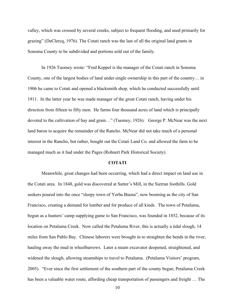valley, which was crossed by several creeks, subject to frequent flooding, and used primarily for grazing" (DeClercq, 1976). The Cotati ranch was the last of all the original land grants in Sonoma County to be subdivided and portions sold out of the family.

In 1926 Tuomey wrote: "Fred Keppel is the manager of the Cotati ranch in Sonoma County, one of the largest bodies of land under single ownership in this part of the country… in 1906 he came to Cotati and opened a blacksmith shop, which he conducted successfully until 1911. In the latter year he was made manager of the great Cotati ranch, having under his direction from fifteen to fifty men. He farms four thousand acres of land which is principally devoted to the cultivation of hay and grain…" (Tuomey, 1926). George P. McNear was the next land baron to acquire the remainder of the Rancho. McNear did not take much of a personal interest in the Rancho, but rather, bought out the Cotati Land Co. and allowed the farm to be managed much as it had under the Pages (Rohnert Park Historical Society).

#### **COTATI**

Meanwhile, great changes had been occurring, which had a direct impact on land use in the Cotati area. In 1848, gold was discovered at Sutter's Mill, in the Sierran foothills. Gold seekers poured into the once "sleepy town of Yerba Buena", now booming as the city of San Francisco, creating a demand for lumber and for produce of all kinds. The town of Petaluma, begun as a hunters' camp supplying game to San Francisco, was founded in 1852, because of its location on Petaluma Creek. Now called the Petaluma River, this is actually a tidal slough, 14 miles from San Pablo Bay. Chinese laborers were brought in to straighten the bends in the river, hauling away the mud in wheelbarrows. Later a steam excavator deepened, straightened, and widened the slough, allowing steamships to travel to Petaluma. (Petaluma Visitors' program, 2005). "Ever since the first settlement of the southern part of the county began, Petaluma Creek has been a valuable water route, affording cheap transportation of passengers and freight … The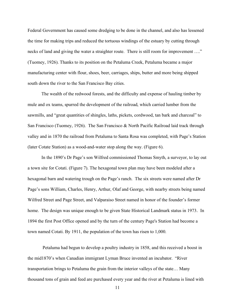Federal Government has caused some dredging to be done in the channel, and also has lessened the time for making trips and reduced the tortuous windings of the estuary by cutting through necks of land and giving the water a straighter route. There is still room for improvement ...." (Tuomey, 1926). Thanks to its position on the Petaluma Creek, Petaluma became a major manufacturing center with flour, shoes, beer, carriages, ships, butter and more being shipped south down the river to the San Francisco Bay cities.

The wealth of the redwood forests, and the difficulty and expense of hauling timber by mule and ox teams, spurred the development of the railroad, which carried lumber from the sawmills, and "great quantities of shingles, laths, pickets, cordwood, tan bark and charcoal" to San Francisco (Tuomey, 1926). The San Francisco & North Pacific Railroad laid track through valley and in 1870 the railroad from Petaluma to Santa Rosa was completed, with Page's Station (later Cotate Station) as a wood-and-water stop along the way. (Figure 6).

In the 1890's Dr Page's son Wilfred commissioned Thomas Smyth, a surveyor, to lay out a town site for Cotati. (Figure 7). The hexagonal town plan may have been modeled after a hexagonal barn and watering trough on the Page's ranch. The six streets were named after Dr Page's sons William, Charles, Henry, Arthur, Olaf and George, with nearby streets being named Wilfred Street and Page Street, and Valparaiso Street named in honor of the founder's former home. The design was unique enough to be given State Historical Landmark status in 1973. In 1894 the first Post Office opened and by the turn of the century Page's Station had become a town named Cotati. By 1911, the population of the town has risen to 1,000.

Petaluma had begun to develop a poultry industry in 1858, and this received a boost in the mid1870's when Canadian immigrant Lyman Bruce invented an incubator. "River transportation brings to Petaluma the grain from the interior valleys of the state… Many thousand tons of grain and feed are purchased every year and the river at Petaluma is lined with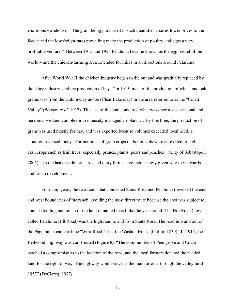enormous warehouses. The grain being purchased in such quantities assures lower prices to the feeder and the low freight rates prevailing make the production of poultry and eggs a very profitable venture." Between 1915 and 1955 Petaluma became known as the egg basket of the world – and the chicken-farming area extended for miles in all directions around Petaluma.

After World War II the chicken industry began to die out and was gradually replaced by the dairy industry, and the production of hay. "In 1915, most of the production of wheat and oak grains was from the Dublin clay adobe (Clear Lake clay) in the area referred to as the "Cotati Valley" (Watson *et al*. 1917). This use of the land converted what was once a vast seasonal and perennial wetland complex into intensely managed cropland … By this time, the production of grain was used mostly for hay, and was exported because volumes exceeded local need, a situation reversed today. Former areas of grain crops on better soils were converted to higher cash crops such as fruit trees (especially prunes, plums, pears and peaches)" (City of Sebastopol, 2005). In the last decade, orchards and diary farms have increasingly given way to vineyards and urban development.

For many years, the two roads that connected Santa Rosa and Petaluma traversed the east and west boundaries of the ranch, avoiding the most direct route because the area was subject to annual flooding and much of the land remained marshlike the year round. The Hill Road (now called Petaluma Hill Road) was the high road to and from Santa Rosa. The road into and out of the Page ranch came off the "West Road," past the Washoe House (built in 1839). In 1915, the Redwood Highway was constructed (Figure 8). "The communities of Penngrove and Cotati reached a compromise as to the location of the road, and the local farmers donated the needed land for the right of way. The highway would serve as the main arterial through the valley until 1957" (DeClercq, 1977).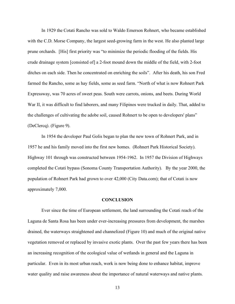In 1929 the Cotati Rancho was sold to Waldo Emerson Rohnert, who became established with the C.D. Morse Company, the largest seed-growing farm in the west. He also planted large prune orchards. [His] first priority was "to minimize the periodic flooding of the fields. His crude drainage system [consisted of] a 2-foot mound down the middle of the field, with 2-foot ditches on each side. Then he concentrated on enriching the soils". After his death, his son Fred farmed the Rancho, some as hay fields, some as seed farm. "North of what is now Rohnert Park Expressway, was 70 acres of sweet peas. South were carrots, onions, and beets. During World War II, it was difficult to find laborers, and many Filipinos were trucked in daily. That, added to the challenges of cultivating the adobe soil, caused Rohnert to be open to developers' plans" (DeClercq). (Figure 9).

In 1954 the developer Paul Golis began to plan the new town of Rohnert Park, and in 1957 he and his family moved into the first new homes. (Rohnert Park Historical Society). Highway 101 through was constructed between 1954-1962. In 1957 the Division of Highways completed the Cotati bypass (Sonoma County Transportation Authority). By the year 2000, the population of Rohnert Park had grown to over 42,000 (City Data.com); that of Cotati is now approximately 7,000.

#### **CONCLUSION**

Ever since the time of European settlement, the land surrounding the Cotati reach of the Laguna de Santa Rosa has been under ever-increasing pressures from development, the marshes drained, the waterways straightened and channelized (Figure 10) and much of the original native vegetation removed or replaced by invasive exotic plants. Over the past few years there has been an increasing recognition of the ecological value of wetlands in general and the Laguna in particular. Even in its most urban reach, work is now being done to enhance habitat, improve water quality and raise awareness about the importance of natural waterways and native plants.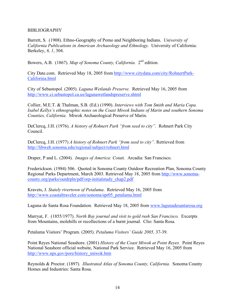### BIBLIOGRAPHY

Barrett, S. (1908). Ethno-Geography of Pomo and Neighboring Indians. *University of California Publications in American Archaeology and Ethnology.* University of California: Berkeley, *6, 1*, 304.

Bowers, A.B. (1867). *Map of Sonoma County, California.* 2nd edition.

City Date.com. Retrieved May 18, 2005 from http://www.citydata.com/city/RohnertPark-California.html

City of Sebastopol. (2005). *Laguna Wetlands Preserve.* Retrieved May 16, 2005 from http://www.ci.sebastopol.ca.us/lagunawetlandspreserve.shtml

Collier, M.E.T. & Thalman, S.B. (Ed.) (1990). *Interviews with Tom Smith and Maria Copa. Isabel Kellys's ethnographic notes on the Coast Miwok Indians of Marin and southern Sonoma Counties, California.* Miwok Archaeological Preserve of Marin.

DeClercq, J.H. (1976). *A history of Rohnert Park "from seed to city".* Rohnert Park City Council.

DeClercq, J.H. (1977) *A history of Rohnert Park "from seed to city".* Retrieved from http://libweb.sonoma.edu/regional/subject/rohnert.html

Draper, P and L. (2004). *Images of America: Cotati.* Arcadia: San Francisco.

Frederickson. (1984) 506. Quoted in Sonoma County Outdoor Recreation Plan, Sonoma County Regional Parks Department, March 2003. Retrieved May 18, 2005 from http://www.sonomacounty.org/parks/outdrpln/pdf/orp-initialstudy\_chap2.pdf

Kravets, J. *Stately rivertown of Petaluma*. Retrieved May 16, 2005 from http://www.coastaltraveler.com/sonoma/spr05\_petaluma.html

Laguna de Santa Rosa Foundation. Retrieved May 18, 2005 from www.lagunadesantarosa.org

Marryat, F. (1855/1977). *North Bay journal and visit to gold rush San Francisco.* Excerpts from Mountains, molehills or recollections of a burnt journal. Clio: Santa Rosa.

Petaluma Visitors' Program. (2005). *Petaluma Visitors' Guide 2005,* 37-39.

Point Reyes National Seashore. (2001) *History of the Coast Miwok at Point Reyes.* Point Reyes National Seashore official website, National Park Service. Retrieved May 16, 2005 from http://www.nps.gov/pore/history\_miwok.htm

Reynolds & Proctor. (1897). *Illustrated Atlas of Sonoma County, California*. Sonoma County Homes and Industries: Santa Rosa.